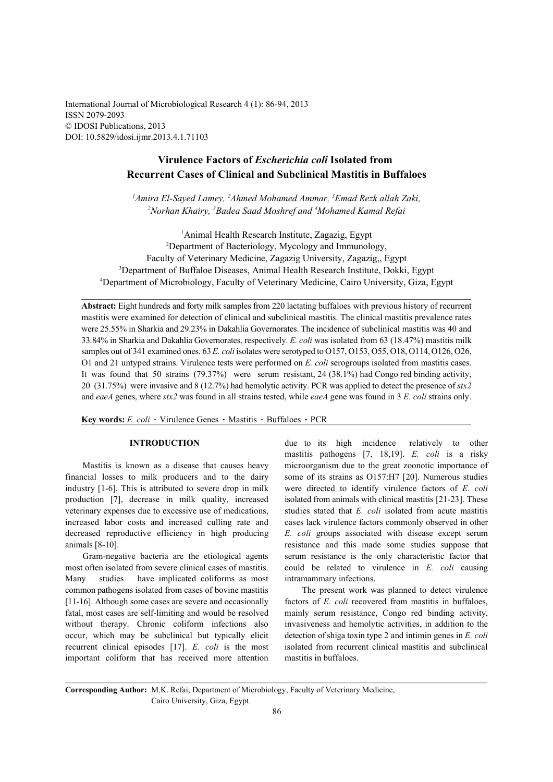International Journal of Microbiological Research 4 (1): 86-94, 2013 ISSN 2079-2093 © IDOSI Publications, 2013 DOI: 10.5829/idosi.ijmr.2013.4.1.71103

# **Virulence Factors of** *Escherichia coli* **Isolated from Recurrent Cases of Clinical and Subclinical Mastitis in Buffaloes**

<sup>1</sup>Amira El-Sayed Lamey, <sup>2</sup>Ahmed Mohamed Ammar, <sup>3</sup>Emad Rezk allah Zaki, <sup>2</sup> Norhan Khairy, <sup>3</sup> Badea Saad Moshref and <sup>4</sup> Mohamed Kamal Refai

<sup>1</sup>Animal Health Research Institute, Zagazig, Egypt <sup>2</sup>Department of Bacteriology, Mycology and Immunology, Faculty of Veterinary Medicine, Zagazig University, Zagazig,, Egypt <sup>3</sup>Department of Buffaloe Diseases, Animal Health Research Institute, Dokki, Egypt Department of Microbiology, Faculty of Veterinary Medicine, Cairo University, Giza, Egypt <sup>4</sup>

**Abstract:** Eight hundreds and forty milk samples from 220 lactating buffaloes with previous history of recurrent mastitis were examined for detection of clinical and subclinical mastitis. The clinical mastitis prevalence rates were 25.55% in Sharkia and 29.23% in Dakahlia Governorates. The incidence of subclinical mastitis was 40 and 33.84% in Sharkia and Dakahlia Governorates, respectively. *E. coli* was isolated from 63 (18.47%) mastitis milk samples out of 341 examined ones. 63 *E. coli* isolates were serotyped to O157, O153, O55, O18, O114, O126, O26, O1 and 21 untyped strains. Virulence tests were performed on *E. coli* serogroups isolated from mastitis cases. It was found that 50 strains (79.37%) were serum resistant, 24 (38.1%) had Congo red binding activity, 20 (31.75%) were invasive and 8 (12.7%) had hemolytic activity. PCR was applied to detect the presence of *stx2* and *eaeA* genes, where *stx2* was found in all strains tested, while *eaeA* gene was found in 3 *E. coli* strains only.

Key words: *E. coli* · Virulence Genes · Mastitis · Buffaloes · PCR

financial losses to milk producers and to the dairy some of its strains as O157:H7 [20]. Numerous studies industry [1-6]. This is attributed to severe drop in milk were directed to identify virulence factors of *E. coli* production [7], decrease in milk quality, increased isolated from animals with clinical mastitis [21-23]. These veterinary expenses due to excessive use of medications, studies stated that *E. coli* isolated from acute mastitis increased labor costs and increased culling rate and cases lack virulence factors commonly observed in other decreased reproductive efficiency in high producing *E. coli* groups associated with disease except serum animals [8-10]. resistance and this made some studies suppose that

Many studies have implicated coliforms as most intramammary infections. common pathogens isolated from cases of bovine mastitis The present work was planned to detect virulence [11-16]. Although some cases are severe and occasionally factors of *E. coli* recovered from mastitis in buffaloes, fatal, most cases are self-limiting and would be resolved mainly serum resistance, Congo red binding activity, without therapy. Chronic coliform infections also invasiveness and hemolytic activities, in addition to the occur, which may be subclinical but typically elicit detection of shiga toxin type 2 and intimin genes in *E. coli* recurrent clinical episodes [17]. *E. coli* is the most isolated from recurrent clinical mastitis and subclinical important coliform that has received more attention mastitis in buffaloes.

**INTRODUCTION** due to its high incidence relatively to other Mastitis is known as a disease that causes heavy microorganism due to the great zoonotic importance of Gram-negative bacteria are the etiological agents serum resistance is the only characteristic factor that most often isolated from severe clinical cases of mastitis. could be related to virulence in *E. coli* causing mastitis pathogens [7, 18,19]. *E. coli* is a risky

**Corresponding Author:** M.K. Refai, Department of Microbiology, Faculty of Veterinary Medicine, Cairo University, Giza, Egypt.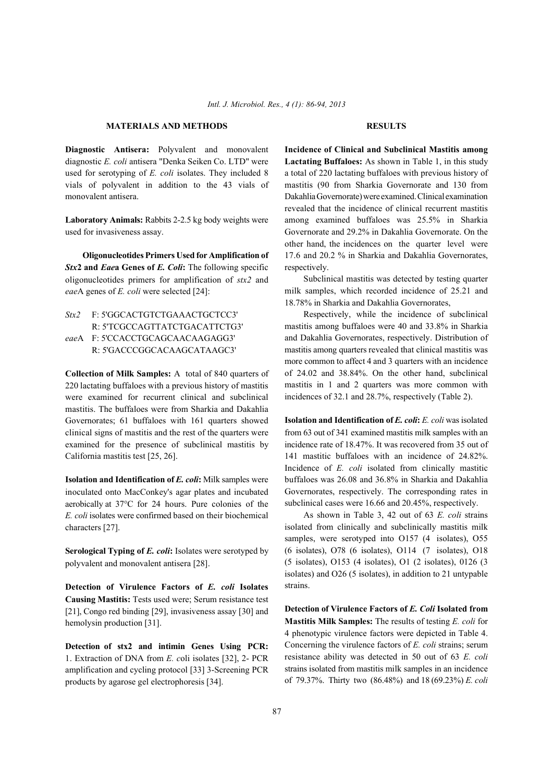### **MATERIALS AND METHODS RESULTS**

diagnostic *E. coli* antisera "Denka Seiken Co. LTD" were **Lactating Buffaloes:** As shown in Table 1, in this study used for serotyping of *E. coli* isolates. They included 8 a total of 220 lactating buffaloes with previous history of vials of polyvalent in addition to the 43 vials of mastitis (90 from Sharkia Governorate and 130 from monovalent antisera. Dakahlia Governorate) were examined. Clinical examination

used for invasiveness assay. Governorate and 29.2% in Dakahlia Governorate. On the

**Stx2 and Eaea Genes of E. Coli:** The following specific respectively. oligonucleotides primers for amplification of *stx2* and *eae*A genes of *E. coli* were selected [24]:

*Stx2* F: 5'GGCACTGTCTGAAACTGCTCC3' R: 5'TCGCCAGTTATCTGACATTCTG3' *eae*A F: 5'CCACCTGCAGCAACAAGAGG3' R: 5'GACCCGGCACAAGCATAAGC3'

**Collection of Milk Samples:** A total of 840 quarters of 220 lactating buffaloes with a previous history of mastitis were examined for recurrent clinical and subclinical mastitis. The buffaloes were from Sharkia and Dakahlia Governorates; 61 buffaloes with 161 quarters showed clinical signs of mastitis and the rest of the quarters were from 63 out of 341 examined mastitis milk samples with an examined for the presence of subclinical mastitis by incidence rate of 18.47%. It was recovered from 35 out of California mastitis test [25, 26]. 141 mastitic buffaloes with an incidence of 24.82%.

inoculated onto MacConkey's agar plates and incubated aerobically at 37°C for 24 hours. Pure colonies of the *E. coli* isolates were confirmed based on their biochemical characters [27].

**Serological Typing of** *E. coli***:** Isolates were serotyped by polyvalent and monovalent antisera [28].

**Detection of Virulence Factors of** *E. coli* **Isolates Causing Mastitis:** Tests used were; Serum resistance test [21], Congo red binding [29], invasiveness assay [30] and hemolysin production [31].

**Detection of stx2 and intimin Genes Using PCR:** 1. Extraction of DNA from *E. c*oli isolates [32], 2- PCR amplification and cycling protocol [33] 3-Screening PCR products by agarose gel electrophoresis [34].

**Diagnostic Antisera:** Polyvalent and monovalent **Incidence of Clinical and Subclinical Mastitis among Laboratory Animals:** Rabbits 2-2.5 kg body weights were among examined buffaloes was 25.5% in Sharkia **Oligonucleotides Primers Used for Amplification of** 17.6 and 20.2 % in Sharkia and Dakahlia Governorates, revealed that the incidence of clinical recurrent mastitis other hand, the incidences on the quarter level were

> Subclinical mastitis was detected by testing quarter milk samples, which recorded incidence of 25.21 and 18.78% in Sharkia and Dakahlia Governorates,

> Respectively, while the incidence of subclinical mastitis among buffaloes were 40 and 33.8% in Sharkia and Dakahlia Governorates, respectively. Distribution of mastitis among quarters revealed that clinical mastitis was more common to affect 4 and 3 quarters with an incidence of 24.02 and 38.84%. On the other hand, subclinical mastitis in 1 and 2 quarters was more common with incidences of 32.1 and 28.7%, respectively (Table 2).

**Isolation and Identification of** *E. coli***:** Milk samples were buffaloes was 26.08 and 36.8% in Sharkia and Dakahlia **Isolation and Identification of** *E. coli***:** *E. coli* was isolated Incidence of *E. coli* isolated from clinically mastitic Governorates, respectively. The corresponding rates in subclinical cases were 16.66 and 20.45%, respectively.

> As shown in Table 3, 42 out of 63 *E. coli* strains isolated from clinically and subclinically mastitis milk samples, were serotyped into O157 (4 isolates), O55 (6 isolates), O78 (6 isolates), O114 (7 isolates), O18 (5 isolates), O153 (4 isolates), O1 (2 isolates), 0126 (3 isolates) and O26 (5 isolates), in addition to 21 untypable strains.

> **Detection of Virulence Factors of** *E. Coli* **Isolated from Mastitis Milk Samples:** The results of testing *E. coli* for 4 phenotypic virulence factors were depicted in Table 4. Concerning the virulence factors of *E. coli* strains; serum resistance ability was detected in 50 out of 63 *E. coli* strains isolated from mastitis milk samples in an incidence of 79.37%. Thirty two (86.48%) and 18 (69.23%) *E. coli*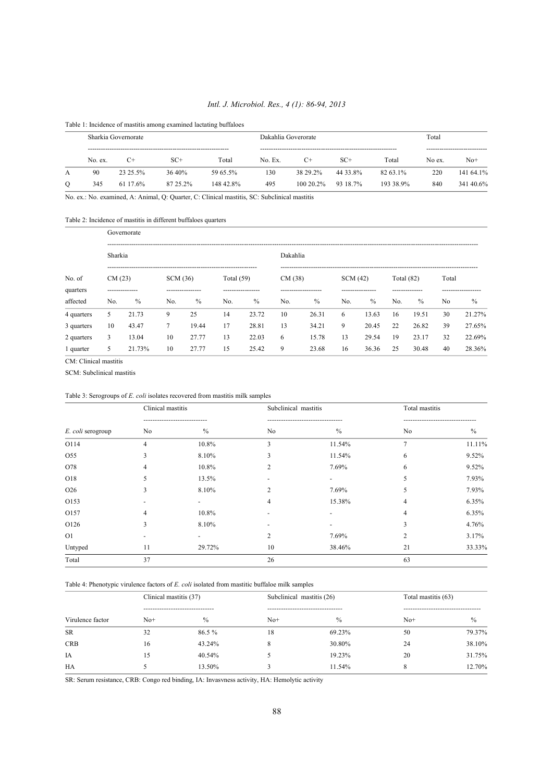### *Intl. J. Microbiol. Res., 4 (1): 86-94, 2013*

Table 1: Incidence of mastitis among examined lactating buffaloes

|         |         | Sharkia Governorate |          |           |         | Dakahlia Goverorate | Total    |           |        |           |
|---------|---------|---------------------|----------|-----------|---------|---------------------|----------|-----------|--------|-----------|
|         | No. ex. | $C+$                | $SC+$    | Total     | No. Ex. | $C+$                | $SC+$    | Total     | No ex. | $No+$     |
| A       | 90      | 23 25 5%            | 36.40%   | 59 65.5%  | 130     | 38 29 2%            | 44 33 8% | 82 63 1%  | 220    | 141 64.1% |
| $\circ$ | 345     | 61 17.6%            | 87 25.2% | 148 42 8% | 495     | $100202\%$          | 93 18.7% | 193 38.9% | 840    | 341 40.6% |

No. ex.: No. examined, A: Animal, Q: Quarter, C: Clinical mastitis, SC: Subclinical mastitis

Table 2: Incidence of mastitis in different buffaloes quarters

|            |         | Governorate    |          |                  |              |                   |          |                     |         |                  |              |                |       |                    |  |
|------------|---------|----------------|----------|------------------|--------------|-------------------|----------|---------------------|---------|------------------|--------------|----------------|-------|--------------------|--|
|            | Sharkia |                |          |                  |              |                   | Dakahlia |                     |         |                  |              |                |       |                    |  |
| No. of     | CM(23)  |                | SCM (36) |                  | Total $(59)$ |                   | CM(38)   |                     | SCM(42) |                  | Total $(82)$ |                | Total |                    |  |
| quarters   |         | -------------- |          | ---------------- |              | ----------------- |          | ------------------- |         | ---------------- |              | -------------- |       | ------------------ |  |
| affected   | No.     | $\%$           | No.      | $\%$             | No.          | $\%$              | No.      | $\frac{0}{0}$       | No.     | $\%$             | No.          | $\%$           | No    | $\frac{0}{0}$      |  |
| 4 quarters | 5       | 21.73          | 9        | 25               | 14           | 23.72             | 10       | 26.31               | 6       | 13.63            | 16           | 19.51          | 30    | 21.27%             |  |
| 3 quarters | 10      | 43.47          | 7        | 19.44            | 17           | 28.81             | 13       | 34.21               | 9       | 20.45            | 22           | 26.82          | 39    | 27.65%             |  |
| 2 quarters | 3       | 13.04          | 10       | 27.77            | 13           | 22.03             | 6        | 15.78               | 13      | 29.54            | 19           | 23.17          | 32    | 22.69%             |  |
| 1 quarter  | 5.      | 21.73%         | 10       | 27.77            | 15           | 25.42             | 9        | 23.68               | 16      | 36.36            | 25           | 30.48          | 40    | 28.36%             |  |

CM: Clinical mastitis

SCM: Subclinical mastitis

### Table 3: Serogroups of *E. coli* isolates recovered from mastitis milk samples

|                   | Clinical mastitis |        | Subclinical mastitis |               | Total mastitis |        |
|-------------------|-------------------|--------|----------------------|---------------|----------------|--------|
|                   |                   |        |                      |               |                |        |
| E. coli serogroup | No                | $\%$   | No                   | $\frac{0}{0}$ | No             | $\%$   |
| O114              | $\overline{4}$    | 10.8%  | 3                    | 11.54%        | $\overline{7}$ | 11.11% |
| O55               | 3                 | 8.10%  | 3                    | 11.54%        | 6              | 9.52%  |
| O78               |                   | 10.8%  | $\overline{c}$       | 7.69%         | 6              | 9.52%  |
| O18               |                   | 13.5%  |                      |               |                | 7.93%  |
| O26               | 3                 | 8.10%  | $\mathfrak{D}$       | 7.69%         | ╮              | 7.93%  |
| O153              |                   |        | 4                    | 15.38%        |                | 6.35%  |
| O157              |                   | 10.8%  |                      |               |                | 6.35%  |
| O126              | 3                 | 8.10%  |                      |               | 3              | 4.76%  |
| O1                |                   |        | 2                    | 7.69%         | 2              | 3.17%  |
| Untyped           | 11                | 29.72% | 10                   | 38.46%        | 21             | 33.33% |
| Total             | 37                |        | 26                   |               | 63             |        |

Table 4: Phenotypic virulence factors of *E. coli* isolated from mastitic buffaloe milk samples

|                  | Clinical mastitis (37) |                              | Subclinical mastitis (26) |               |       | Total mastitis (63) |  |
|------------------|------------------------|------------------------------|---------------------------|---------------|-------|---------------------|--|
|                  |                        | ---------------------------- |                           |               |       |                     |  |
| Virulence factor | $No+$                  | $\frac{0}{0}$                | $No+$                     | $\frac{0}{0}$ | $No+$ | $\%$                |  |
| <b>SR</b>        | 32                     | 86.5%                        | 18                        | 69.23%        | 50    | 79.37%              |  |
| <b>CRB</b>       | 16                     | 43.24%                       | 8                         | 30.80%        | 24    | 38.10%              |  |
| IA               | 15                     | 40.54%                       |                           | 19.23%        | 20    | 31.75%              |  |
| <b>HA</b>        |                        | 13.50%                       |                           | 11.54%        | 8     | 12.70%              |  |
|                  |                        |                              |                           |               |       |                     |  |

SR: Serum resistance, CRB: Congo red binding, IA: Invasvness activity, HA: Hemolytic activity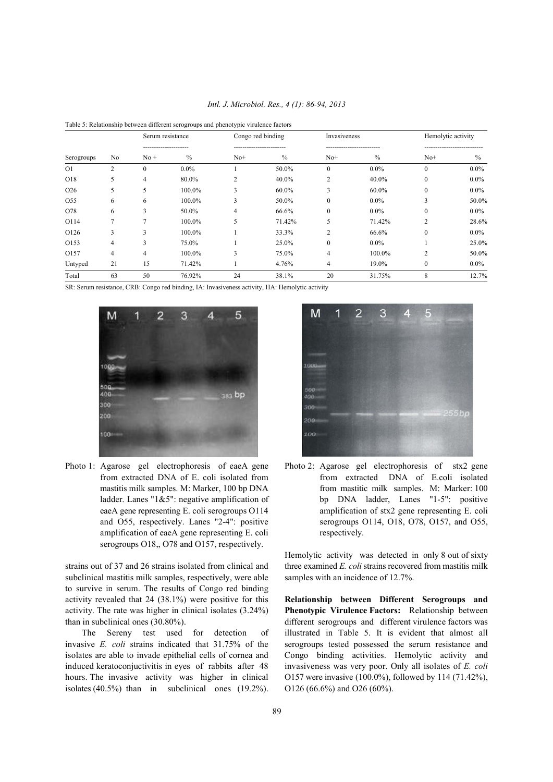| Intl. J. Microbiol. Res., 4 (1): 86-94, 2013 |  |  |  |  |
|----------------------------------------------|--|--|--|--|
|----------------------------------------------|--|--|--|--|

|                  |                | Serum resistance      |         | Congo red binding            |        | Invasiveness   |         | Hemolytic activity |               |
|------------------|----------------|-----------------------|---------|------------------------------|--------|----------------|---------|--------------------|---------------|
| Serogroups       | N <sub>0</sub> | -----------<br>$No +$ | $\%$    | -------------------<br>$No+$ | $\%$   | $No+$          | $\%$    | $No+$              | $\frac{0}{0}$ |
| O <sub>1</sub>   | 2              | $\mathbf{0}$          | $0.0\%$ |                              | 50.0%  | $\mathbf{0}$   | 0.0%    | $\mathbf{0}$       | $0.0\%$       |
| O18              | 5              | 4                     | 80.0%   | 2                            | 40.0%  | 2              | 40.0%   | $\mathbf{0}$       | $0.0\%$       |
| O <sub>26</sub>  | 5              | 5                     | 100.0%  | 3                            | 60.0%  | 3              | 60.0%   | $\mathbf{0}$       | $0.0\%$       |
| O <sub>55</sub>  | 6              | 6                     | 100.0%  | 3                            | 50.0%  | $\mathbf{0}$   | $0.0\%$ | 3                  | 50.0%         |
| O78              | 6              | 3                     | 50.0%   | 4                            | 66.6%  | $\mathbf{0}$   | $0.0\%$ | $\mathbf{0}$       | $0.0\%$       |
| O114             | 7              | ┑                     | 100.0%  | 5                            | 71.42% | 5              | 71.42%  | $\overline{c}$     | 28.6%         |
| O <sub>126</sub> | 3              | 3                     | 100.0%  |                              | 33.3%  | $\overline{2}$ | 66.6%   | $\mathbf{0}$       | $0.0\%$       |
| O <sub>153</sub> | 4              | 3                     | 75.0%   |                              | 25.0%  | $\mathbf{0}$   | $0.0\%$ |                    | 25.0%         |
| O <sub>157</sub> | $\overline{4}$ | 4                     | 100.0%  | 3                            | 75.0%  | 4              | 100.0%  | $\overline{c}$     | 50.0%         |
| Untyped          | 21             | 15                    | 71.42%  |                              | 4.76%  | 4              | 19.0%   | $\mathbf{0}$       | $0.0\%$       |
| Total            | 63             | 50                    | 76.92%  | 24                           | 38.1%  | 20             | 31.75%  | 8                  | 12.7%         |

| Table 5: Relationship between different serogroups and phenotypic virulence factors |  |  |
|-------------------------------------------------------------------------------------|--|--|
|                                                                                     |  |  |

SR: Serum resistance, CRB: Congo red binding, IA: Invasiveness activity, HA: Hemolytic activity



amplification of eaeA gene representing E. coli respectively. serogroups O18,, O78 and O157, respectively.

subclinical mastitis milk samples, respectively, were able samples with an incidence of 12.7%. to survive in serum. The results of Congo red binding activity revealed that 24 (38.1%) were positive for this **Relationship between Different Serogroups and**

invasive *E. coli* strains indicated that 31.75% of the serogroups tested possessed the serum resistance and isolates are able to invade epithelial cells of cornea and Congo binding activities. Hemolytic activity and induced keratoconjuctivitis in eyes of rabbits after 48 invasiveness was very poor. Only all isolates of *E. coli* hours. The invasive activity was higher in clinical O157 were invasive (100.0%), followed by 114 (71.42%), isolates (40.5%) than in subclinical ones  $(19.2\%)$ . O126 (66.6%) and O26 (60%).



Photo 1: Agarose gel electrophoresis of eaeA gene Photo 2: Agarose gel electrophoresis of stx2 gene from extracted DNA of E. coli isolated from from extracted DNA of E. coli isolated mastitis milk samples. M: Marker, 100 bp DNA from mastitic milk samples. M: Marker: 100 ladder. Lanes "1&5": negative amplification of bp DNA ladder, Lanes "1-5": positive eaeA gene representing E. coli serogroups O114 amplification of stx2 gene representing E. coli and O55, respectively. Lanes "2-4": positive serogroups O114, O18, O78, O157, and O55,

strains out of 37 and 26 strains isolated from clinical and three examined *E. coli* strains recovered from mastitis milk Hemolytic activity was detected in only 8 out of sixty

activity. The rate was higher in clinical isolates (3.24%) **Phenotypic Virulence Factors:** Relationship between than in subclinical ones (30.80%). different serogroups and different virulence factors was The Sereny test used for detection of illustrated in Table 5. It is evident that almost all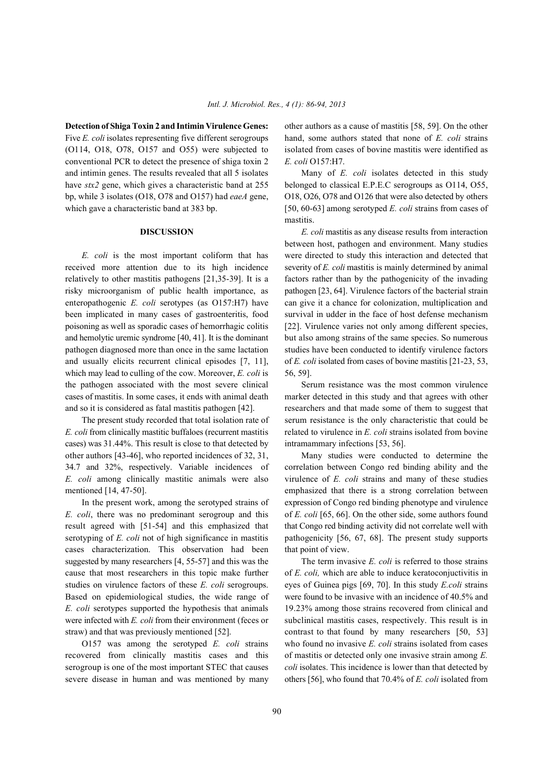Five *E. coli* isolates representing five different serogroups hand, some authors stated that none of *E. coli* strains (O114, O18, O78, O157 and O55) were subjected to isolated from cases of bovine mastitis were identified as conventional PCR to detect the presence of shiga toxin 2 *E. coli* O157:H7. and intimin genes. The results revealed that all 5 isolates Many of *E. coli* isolates detected in this study have *stx2* gene, which gives a characteristic band at 255 belonged to classical E.P.E.C serogroups as O114, O55, bp, while 3 isolates (O18, O78 and O157) had *eaeA* gene, O18, O26, O78 and O126 that were also detected by others which gave a characteristic band at 383 bp. [50, 60-63] among serotyped *E. coli* strains from cases of

received more attention due to its high incidence severity of *E. coli* mastitis is mainly determined by animal relatively to other mastitis pathogens [21,35-39]. It is a factors rather than by the pathogenicity of the invading risky microorganism of public health importance, as pathogen [23, 64]. Virulence factors of the bacterial strain enteropathogenic *E. coli* serotypes (as O157:H7) have can give it a chance for colonization, multiplication and been implicated in many cases of gastroenteritis, food survival in udder in the face of host defense mechanism poisoning as well as sporadic cases of hemorrhagic colitis [22]. Virulence varies not only among different species, and hemolytic uremic syndrome [40, 41]. It is the dominant but also among strains of the same species. So numerous pathogen diagnosed more than once in the same lactation studies have been conducted to identify virulence factors and usually elicits recurrent clinical episodes [7, 11], of *E. coli* isolated from cases of bovine mastitis [21-23, 53, which may lead to culling of the cow. Moreover, *E. coli* is 56, 59]. the pathogen associated with the most severe clinical Serum resistance was the most common virulence cases of mastitis. In some cases, it ends with animal death marker detected in this study and that agrees with other

*E. coli* from clinically mastitic buffaloes (recurrent mastitis related to virulence in *E. coli* strains isolated from bovine cases) was 31.44%. This result is close to that detected by intramammary infections [53, 56]. other authors [43-46], who reported incidences of 32, 31, Many studies were conducted to determine the 34.7 and 32%, respectively. Variable incidences of correlation between Congo red binding ability and the *E. coli* among clinically mastitic animals were also virulence of *E. coli* strains and many of these studies

*E. coli*, there was no predominant serogroup and this of *E. coli* [65, 66]. On the other side, some authors found result agreed with [51-54] and this emphasized that that Congo red binding activity did not correlate well with serotyping of *E. coli* not of high significance in mastitis pathogenicity [56, 67, 68]. The present study supports cases characterization. This observation had been that point of view. suggested by many researchers [4, 55-57] and this was the The term invasive *E. coli* is referred to those strains cause that most researchers in this topic make further of *E. coli*, which are able to induce keratoconjuctivitis in studies on virulence factors of these *E. coli* serogroups. eyes of Guinea pigs [69, 70]. In this study *E.coli* strains Based on epidemiological studies, the wide range of were found to be invasive with an incidence of 40.5% and *E. coli* serotypes supported the hypothesis that animals 19.23% among those strains recovered from clinical and were infected with *E. coli* from their environment (feces or subclinical mastitis cases, respectively. This result is in straw) and that was previously mentioned [52]. contrast to that found by many researchers [50, 53]

recovered from clinically mastitis cases and this of mastitis or detected only one invasive strain among *E.* serogroup is one of the most important STEC that causes *coli* isolates. This incidence is lower than that detected by

**Detection of Shiga Toxin 2 and Intimin Virulence Genes:** other authors as a cause of mastitis [58, 59]. On the other

mastitis.

**DISCUSSION** *E. coli* mastitis as any disease results from interaction *E. coli* is the most important coliform that has were directed to study this interaction and detected that between host, pathogen and environment. Many studies

and so it is considered as fatal mastitis pathogen [42]. researchers and that made some of them to suggest that The present study recorded that total isolation rate of serum resistance is the only characteristic that could be

mentioned [14, 47-50]. emphasized that there is a strong correlation between In the present work, among the serotyped strains of expression of Congo red binding phenotype and virulence

O157 was among the serotyped *E. coli* strains who found no invasive *E. coli* strains isolated from cases severe disease in human and was mentioned by many others [56], who found that 70.4% of *E. coli* isolated from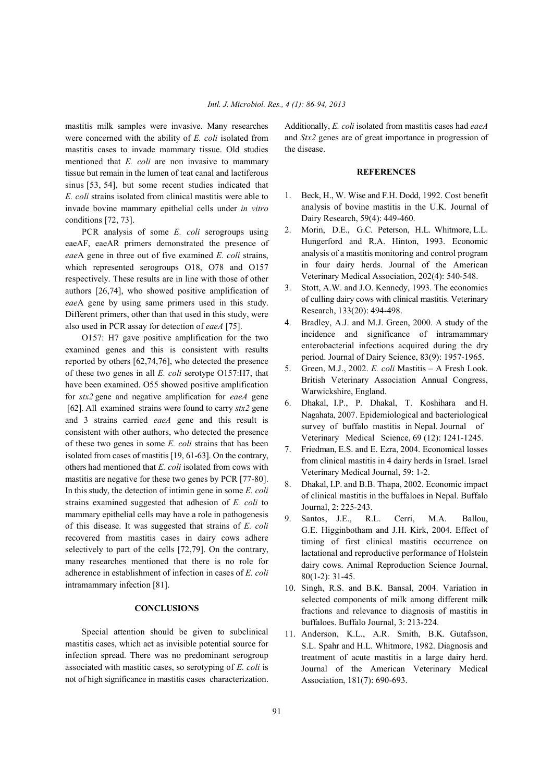mastitis milk samples were invasive. Many researches Additionally, *E. coli* isolated from mastitis cases had *eaeA* were concerned with the ability of *E. coli* isolated from mastitis cases to invade mammary tissue. Old studies mentioned that *E. coli* are non invasive to mammary tissue but remain in the lumen of teat canal and lactiferous sinus [53, 54], but some recent studies indicated that *E. coli* strains isolated from clinical mastitis were able to invade bovine mammary epithelial cells under *in vitro* conditions [72, 73].

PCR analysis of some *E. coli* serogroups using eaeAF, eaeAR primers demonstrated the presence of *eae*A gene in three out of five examined *E. coli* strains, which represented serogroups O18, O78 and O157 respectively. These results are in line with those of other authors [26,74], who showed positive amplification of *eae*A gene by using same primers used in this study. Different primers, other than that used in this study, were also used in PCR assay for detection of *eaeA* [75].

O157: H7 gave positive amplification for the two examined genes and this is consistent with results reported by others [62,74,76], who detected the presence of these two genes in all *E. coli* serotype O157:H7, that have been examined. O55 showed positive amplification for *stx2* gene and negative amplification for *eaeA* gene [62]. All examined strains were found to carry *stx2* gene and 3 strains carried *eaeA* gene and this result is consistent with other authors, who detected the presence of these two genes in some *E. coli* strains that has been isolated from cases of mastitis [19, 61-63]. On the contrary, others had mentioned that *E. coli* isolated from cows with mastitis are negative for these two genes by PCR [77-80]. In this study, the detection of intimin gene in some *E. coli* strains examined suggested that adhesion of *E. coli* to mammary epithelial cells may have a role in pathogenesis of this disease. It was suggested that strains of *E. coli* recovered from mastitis cases in dairy cows adhere selectively to part of the cells [72,79]. On the contrary, many researches mentioned that there is no role for adherence in establishment of infection in cases of *E. coli* intramammary infection [81].

## **CONCLUSIONS**

Special attention should be given to subclinical mastitis cases, which act as invisible potential source for infection spread. There was no predominant serogroup associated with mastitic cases, so serotyping of *E. coli* is not of high significance in mastitis cases characterization. and *Stx2* genes are of great importance in progression of the disease.

### **REFERENCES**

- 1. Beck, H., W. Wise and F.H. Dodd, 1992. Cost benefit analysis of bovine mastitis in the U.K. Journal of Dairy Research, 59(4): 449-460.
- 2. Morin, D.E., G.C. Peterson, H.L. Whitmore, L.L. Hungerford and R.A. Hinton, 1993. Economic analysis of a mastitis monitoring and control program in four dairy herds. Journal of the American Veterinary Medical Association, 202(4): 540-548.
- 3. Stott, A.W. and J.O. Kennedy, 1993. The economics of culling dairy cows with clinical mastitis. Veterinary Research, 133(20): 494-498.
- 4. Bradley, A.J. and M.J. Green, 2000. A study of the incidence and significance of intramammary enterobacterial infections acquired during the dry period. Journal of Dairy Science, 83(9): 1957-1965.
- 5. Green, M.J., 2002. *E. coli* Mastitis A Fresh Look. British Veterinary Association Annual Congress, Warwickshire, England.
- 6. Dhakal, I.P., P. Dhakal, T. Koshihara and H. Nagahata, 2007. Epidemiological and bacteriological survey of buffalo mastitis in Nepal. Journal of Veterinary Medical Science, 69 (12): 1241-1245.
- 7. Friedman, E.S. and E. Ezra, 2004. Economical losses from clinical mastitis in 4 dairy herds in Israel. Israel Veterinary Medical Journal, 59: 1-2.
- 8. Dhakal, I.P. and B.B. Thapa, 2002. Economic impact of clinical mastitis in the buffaloes in Nepal. Buffalo Journal, 2: 225-243.
- 9. Santos, J.E., R.L. Cerri, M.A. Ballou, G.E. Higginbotham and J.H. Kirk, 2004. Effect of timing of first clinical mastitis occurrence on lactational and reproductive performance of Holstein dairy cows. Animal Reproduction Science Journal, 80(1-2): 31-45.
- 10. Singh, R.S. and B.K. Bansal, 2004. Variation in selected components of milk among different milk fractions and relevance to diagnosis of mastitis in buffaloes. Buffalo Journal, 3: 213-224.
- 11. Anderson, K.L., A.R. Smith, B.K. Gutafsson, S.L. Spahr and H.L. Whitmore, 1982. Diagnosis and treatment of acute mastitis in a large dairy herd. Journal of the American Veterinary Medical Association, 181(7): 690-693.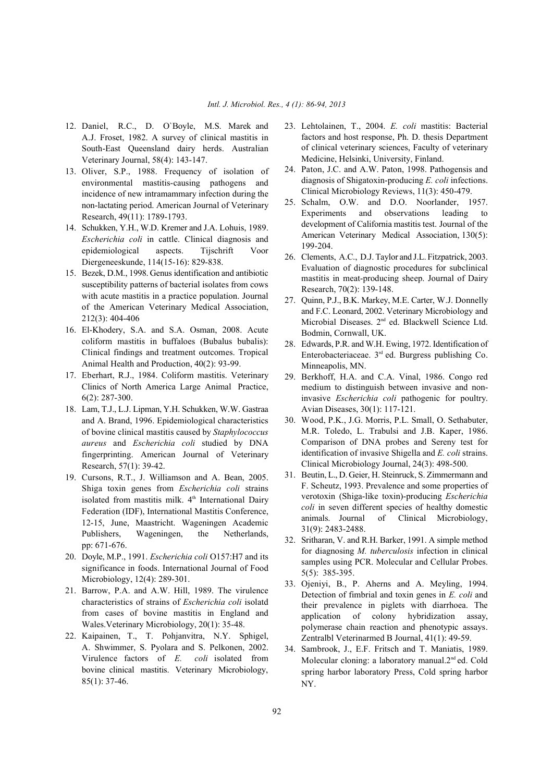- A.J. Froset, 1982. A survey of clinical mastitis in South-East Queensland dairy herds. Australian Veterinary Journal, 58(4): 143-147.
- 13. Oliver, S.P., 1988. Frequency of isolation of environmental mastitis-causing pathogens and incidence of new intramammary infection during the non-lactating period. American Journal of Veterinary Research, 49(11): 1789-1793.
- 14. Schukken, Y.H., W.D. Kremer and J.A. Lohuis, 1989. *Escherichia coli* in cattle. Clinical diagnosis and epidemiological aspects. Tijschrift Voor Diergeneeskunde, 114(15-16): 829-838.
- 15. Bezek, D.M., 1998. Genus identification and antibiotic susceptibility patterns of bacterial isolates from cows with acute mastitis in a practice population. Journal of the American Veterinary Medical Association, 212(3): 404-406
- 16. El-Khodery, S.A. and S.A. Osman, 2008. Acute coliform mastitis in buffaloes (Bubalus bubalis): Clinical findings and treatment outcomes. Tropical Animal Health and Production, 40(2): 93-99.
- 17. Eberhart, R.J., 1984. Coliform mastitis. Veterinary Clinics of North America Large Animal Practice, 6(2): 287-300.
- 18. Lam, T.J., L.J. Lipman, Y.H. Schukken, W.W. Gastraa and A. Brand, 1996. Epidemiological characteristics of bovine clinical mastitis caused by *Staphylococcus aureus* and *Escherichia coli* studied by DNA fingerprinting. American Journal of Veterinary Research, 57(1): 39-42.
- 19. Cursons, R.T., J. Williamson and A. Bean, 2005. Shiga toxin genes from *Escherichia coli* strains isolated from mastitis milk.  $4<sup>th</sup>$  International Dairy Federation (IDF), International Mastitis Conference, 12-15, June, Maastricht. Wageningen Academic Publishers, Wageningen, the Netherlands, pp: 671-676.
- 20. Doyle, M.P., 1991. *Escherichia coli* O157:H7 and its significance in foods. International Journal of Food Microbiology, 12(4): 289-301.
- 21. Barrow, P.A. and A.W. Hill, 1989. The virulence characteristics of strains of *Escherichia coli* isolatd from cases of bovine mastitis in England and Wales.Veterinary Microbiology, 20(1): 35-48.
- 22. Kaipainen, T., T. Pohjanvitra, N.Y. Sphigel, A. Shwimmer, S. Pyolara and S. Pelkonen, 2002. Virulence factors of *E. coli* isolated from bovine clinical mastitis. Veterinary Microbiology, 85(1): 37-46.
- 12. Daniel, R.C., D. O`Boyle, M.S. Marek and 23. Lehtolainen, T., 2004. *E. coli* mastitis: Bacterial factors and host response, Ph. D. thesis Department of clinical veterinary sciences, Faculty of veterinary Medicine, Helsinki, University, Finland.
	- 24. Paton, J.C. and A.W. Paton, 1998. Pathogensis and diagnosis of Shigatoxin-producing *E. coli* infections. Clinical Microbiology Reviews, 11(3): 450-479.
	- 25. Schalm, O.W. and D.O. Noorlander, 1957. Experiments and observations leading to development of California mastitis test. Journal of the American Veterinary Medical Association, 130(5): 199-204.
	- 26. Clements, A.C., D.J. Taylor and J.L. Fitzpatrick, 2003. Evaluation of diagnostic procedures for subclinical mastitis in meat-producing sheep. Journal of Dairy Research, 70(2): 139-148.
	- 27. Quinn, P.J., B.K. Markey, M.E. Carter, W.J. Donnelly and F.C. Leonard, 2002. Veterinary Microbiology and Microbial Diseases.  $2<sup>nd</sup>$  ed. Blackwell Science Ltd. Bodmin, Cornwall, UK.
	- 28. Edwards, P.R. and W.H. Ewing, 1972. Identification of Enterobacteriaceae.  $3<sup>rd</sup>$  ed. Burgress publishing Co. Minneapolis, MN.
	- 29. Berkhoff, H.A. and C.A. Vinal, 1986. Congo red medium to distinguish between invasive and noninvasive *Escherichia coli* pathogenic for poultry. Avian Diseases, 30(1): 117-121.
	- 30. Wood, P.K., J.G. Morris, P.L. Small, O. Sethabuter, M.R. Toledo, L. Trabulsi and J.B. Kaper, 1986. Comparison of DNA probes and Sereny test for identification of invasive Shigella and *E. coli* strains. Clinical Microbiology Journal, 24(3): 498-500.
	- 31. Beutin, L., D. Geier, H. Steinruck, S. Zimmermann and F. Scheutz, 1993. Prevalence and some properties of verotoxin (Shiga-like toxin)-producing *Escherichia coli* in seven different species of healthy domestic animals. Journal of Clinical Microbiology, 31(9): 2483-2488.
	- 32. Sritharan, V. and R.H. Barker, 1991. A simple method for diagnosing *M. tuberculosis* infection in clinical samples using PCR. Molecular and Cellular Probes. 5(5): 385-395.
	- 33. Ojeniyi, B., P. Aherns and A. Meyling, 1994. Detection of fimbrial and toxin genes in *E. coli* and their prevalence in piglets with diarrhoea. The application of colony hybridization assay, polymerase chain reaction and phenotypic assays. Zentralbl Veterinarmed B Journal, 41(1): 49-59.
	- 34. Sambrook, J., E.F. Fritsch and T. Maniatis, 1989. Molecular cloning: a laboratory manual. $2<sup>nd</sup>$  ed. Cold spring harbor laboratory Press, Cold spring harbor NY.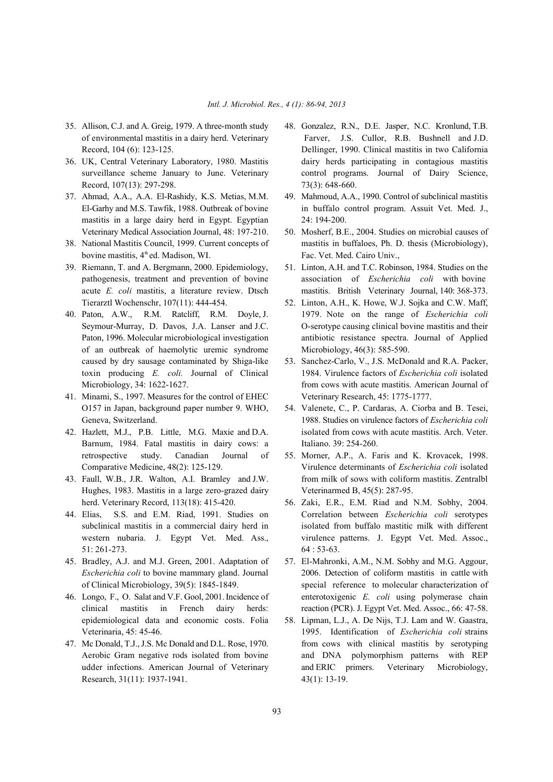- 35. Allison, C.J. and A. Greig, 1979. A three-month study 48. Gonzalez, R.N., D.E. Jasper, N.C. Kronlund, T.B.
- Record, 107(13): 297-298. 73(3): 648-660.
- 37. Ahmad, A.A., A.A. El-Rashidy, K.S. Metias, M.M. 49. Mahmoud, A.A., 1990. Control of subclinical mastitis mastitis in a large dairy herd in Egypt. Egyptian 24: 194-200. Veterinary Medical Association Journal, 48: 197-210. 50. Mosherf, B.E., 2004. Studies on microbial causes of
- bovine mastitis,  $4<sup>th</sup>$ ed. Madison, WI. Fac. Vet. Med. Cairo Univ.,
- 39. Riemann, T. and A. Bergmann, 2000. Epidemiology, 51. Linton, A.H. and T.C. Robinson, 1984. Studies on the Tierarztl Wochenschr, 107(11): 444-454. 52. Linton, A.H., K. Howe, W.J. Sojka and C.W. Maff,
- of an outbreak of haemolytic uremic syndrome Microbiology, 46(3): 585-590. caused by dry sausage contaminated by Shiga-like 53. Sanchez-Carlo, V., J.S. McDonald and R.A. Packer,
- 41. Minami, S., 1997. Measures for the control of EHEC Veterinary Research, 45: 1775-1777.
- Barnum, 1984. Fatal mastitis in dairy cows: a Italiano. 39: 254-260. retrospective study. Canadian Journal of 55. Morner, A.P., A. Faris and K. Krovacek, 1998.
- Hughes, 1983. Mastitis in a large zero-grazed dairy Veterinarmed B, 45(5): 287-95. herd. Veterinary Record, 113(18): 415-420. 56. Zaki, E.R., E.M. Riad and N.M. Sobhy, 2004.
- 51: 261-273. 64 : 53-63.
- 45. Bradley, A.J. and M.J. Green, 2001. Adaptation of 57. El-Mahronki, A.M., N.M. Sobhy and M.G. Aggour,
- epidemiological data and economic costs. Folia 58. Lipman, L.J., A. De Nijs, T.J. Lam and W. Gaastra,
- Research, 31(11): 1937-1941. 43(1): 13-19.
- of environmental mastitis in a dairy herd. Veterinary Farver, J.S. Cullor, R.B. Bushnell and J.D. Record, 104 (6): 123-125. Dellinger, 1990. Clinical mastitis in two California 36. UK, Central Veterinary Laboratory, 1980. Mastitis dairy herds participating in contagious mastitis surveillance scheme January to June. Veterinary control programs. Journal of Dairy Science,
	- El-Garhy and M.S. Tawfik, 1988. Outbreak of bovine in buffalo control program. Assuit Vet. Med. J.,
- 38. National Mastitis Council, 1999. Current concepts of mastitis in buffaloes, Ph. D. thesis (Microbiology),
	- pathogenesis, treatment and prevention of bovine association of *Escherichia coli* with bovine acute *E. coli* mastitis, a literature review. Dtsch mastitis. British Veterinary Journal, 140: 368-373.
- 40. Paton, A.W., R.M. Ratcliff, R.M. Doyle, J. 1979. Note on the range of *Escherichia coli* Seymour-Murray, D. Davos, J.A. Lanser and J.C. O-serotype causing clinical bovine mastitis and their Paton, 1996. Molecular microbiological investigation antibiotic resistance spectra. Journal of Applied
	- toxin producing *E. coli.* Journal of Clinical 1984. Virulence factors of *Escherichia coli* isolated Microbiology, 34: 1622-1627. from cows with acute mastitis. American Journal of
- O157 in Japan, background paper number 9. WHO, 54. Valenete, C., P. Cardaras, A. Ciorba and B. Tesei, Geneva, Switzerland. 1988. Studies on virulence factors of *Escherichia coli* 42. Hazlett, M.J., P.B. Little, M.G. Maxie and D.A. isolated from cows with acute mastitis. Arch. Veter.
- Comparative Medicine, 48(2): 125-129. Virulence determinants of *Escherichia coli* isolated 43. Faull, W.B., J.R. Walton, A.I. Bramley and J.W. from milk of sows with coliform mastitis. Zentralbl
- 44. Elias, S.S. and E.M. Riad, 1991. Studies on Correlation between *Escherichia coli* serotypes subclinical mastitis in a commercial dairy herd in isolated from buffalo mastitic milk with different western nubaria. J. Egypt Vet. Med. Ass., virulence patterns. J. Egypt Vet. Med. Assoc.,
- *Escherichia coli* to bovine mammary gland. Journal 2006. Detection of coliform mastitis in cattle with of Clinical Microbiology, 39(5): 1845-1849. special reference to molecular characterization of 46. Longo, F., O. Salat and V.F. Gool, 2001. Incidence of enterotoxigenic *E. coli* using polymerase chain clinical mastitis in French dairy herds: reaction (PCR). J. Egypt Vet. Med. Assoc., 66: 47-58.
- Veterinaria, 45: 45-46. 1995. Identification of *Escherichia coli* strains 47. Mc Donald, T.J., J.S. Mc Donald and D.L. Rose, 1970. from cows with clinical mastitis by serotyping Aerobic Gram negative rods isolated from bovine and DNA polymorphism patterns with REP udder infections. American Journal of Veterinary and ERIC primers. Veterinary Microbiology,